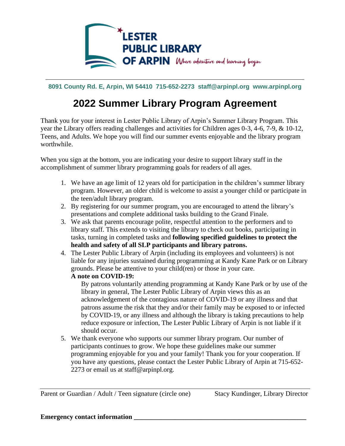

**8091 County Rd. E, Arpin, WI 54410 715-652-2273 staff@arpinpl.org www.arpinpl.org**

## **2022 Summer Library Program Agreement**

Thank you for your interest in Lester Public Library of Arpin's Summer Library Program. This year the Library offers reading challenges and activities for Children ages 0-3, 4-6, 7-9, & 10-12, Teens, and Adults. We hope you will find our summer events enjoyable and the library program worthwhile.

When you sign at the bottom, you are indicating your desire to support library staff in the accomplishment of summer library programming goals for readers of all ages.

- 1. We have an age limit of 12 years old for participation in the children's summer library program. However, an older child is welcome to assist a younger child or participate in the teen/adult library program.
- 2. By registering for our summer program, you are encouraged to attend the library's presentations and complete additional tasks building to the Grand Finale.
- 3. We ask that parents encourage polite, respectful attention to the performers and to library staff. This extends to visiting the library to check out books, participating in tasks, turning in completed tasks and **following specified guidelines to protect the health and safety of all SLP participants and library patrons.**
- 4. The Lester Public Library of Arpin (including its employees and volunteers) is not liable for any injuries sustained during programming at Kandy Kane Park or on Library grounds. Please be attentive to your child(ren) or those in your care. **A note on COVID-19:**

By patrons voluntarily attending programming at Kandy Kane Park or by use of the library in general, The Lester Public Library of Arpin views this as an acknowledgement of the contagious nature of COVID-19 or any illness and that patrons assume the risk that they and/or their family may be exposed to or infected by COVID-19, or any illness and although the library is taking precautions to help reduce exposure or infection, The Lester Public Library of Arpin is not liable if it should occur.

5. We thank everyone who supports our summer library program. Our number of participants continues to grow. We hope these guidelines make our summer programming enjoyable for you and your family! Thank you for your cooperation. If you have any questions, please contact the Lester Public Library of Arpin at 715-652- 2273 or email us at staff@arpinpl.org.

Parent or Guardian / Adult / Teen signature (circle one) Stacy Kundinger, Library Director